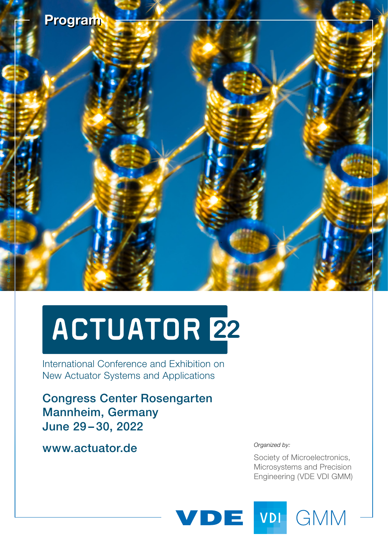

# ACTUATOR 22

International Conference and Exhibition on International Conference and Exhibition on New Actuator Systems and Applications New Actuator Systems and Applications

Congress Center Rosengarten Mannheim, Germany June 29 – 30, 2022

[www.actuator.de](http://www.actuator.de)

*Organized by:*

Society of Microelectronics, Microsystems and Precision Engineering (VDE VDI GMM)



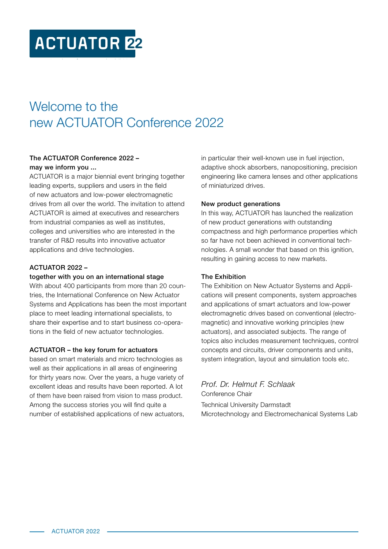# **ACTUATOR 22**

### Welcome to the new ACTUATOR Conference 2022

#### The ACTUATOR Conference 2022 – may we inform you ...

ACTUATOR is a major biennial event bringing together leading experts, suppliers and users in the field of new actuators and low-power electromagnetic drives from all over the world. The invitation to attend ACTUATOR is aimed at executives and researchers from industrial companies as well as institutes, colleges and universities who are interested in the transfer of R&D results into innovative actuator applications and drive technologies.

#### ACTUATOR 2022 –

#### together with you on an international stage

With about 400 participants from more than 20 countries, the International Conference on New Actuator Systems and Applications has been the most important place to meet leading international specialists, to share their expertise and to start business co-operations in the field of new actuator technologies.

#### ACTUATOR – the key forum for actuators

based on smart materials and micro technologies as well as their applications in all areas of engineering for thirty years now. Over the years, a huge variety of excellent ideas and results have been reported. A lot of them have been raised from vision to mass product. Among the success stories you will find quite a number of established applications of new actuators, in particular their well-known use in fuel injection, adaptive shock absorbers, nanopositioning, precision engineering like camera lenses and other applications of miniaturized drives.

#### New product generations

In this way, ACTUATOR has launched the realization of new product generations with outstanding compactness and high performance properties which so far have not been achieved in conventional technologies. A small wonder that based on this ignition, resulting in gaining access to new markets.

#### The Exhibition

The Exhibition on New Actuator Systems and Applications will present components, system approaches and applications of smart actuators and low-power electromagnetic drives based on conventional (electromagnetic) and innovative working principles (new actuators), and associated subjects. The range of topics also includes measurement techniques, control concepts and circuits, driver components and units, system integration, layout and simulation tools etc.

*Prof. Dr. Helmut F. Schlaak* Conference Chair

Technical University Darmstadt Microtechnology and Electromechanical Systems Lab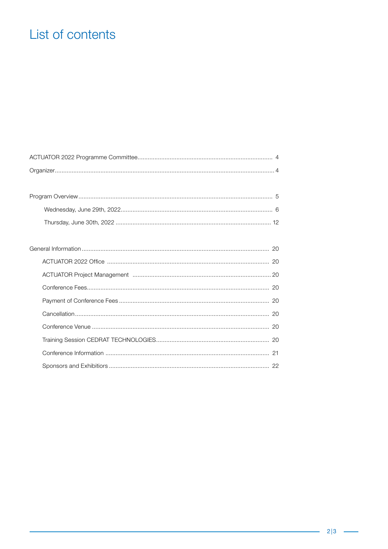### List of contents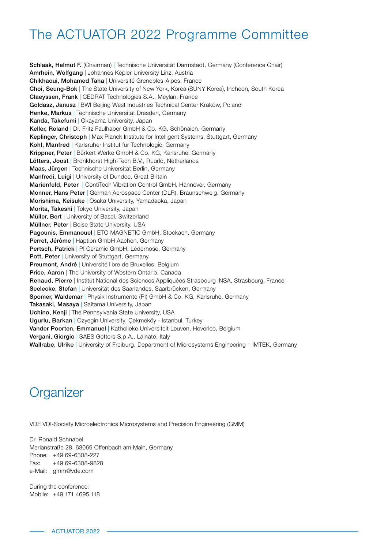### The ACTUATOR 2022 Programme Committee

Schlaak, Helmut F. (Chairman) | Technische Universität Darmstadt, Germany (Conference Chair) Amrhein, Wolfgang | Johannes Kepler University Linz, Austria Chikhaoui, Mohamed Taha | Université Grenobles-Alpes, France Choi, Seung-Bok | The State University of New York, Korea (SUNY Korea), Incheon, South Korea Claeyssen, Frank | CEDRAT Technologies S.A., Meylan, France Goldasz, Janusz | BWI Beijing West Industries Technical Center Kraków, Poland Henke, Markus | Technische Universität Dresden, Germany Kanda, Takefumi | Okayama University, Japan Keller, Roland | Dr. Fritz Faulhaber GmbH & Co. KG, Schönaich, Germany Keplinger, Christoph | Max Planck Institute for Intelligent Systems, Stuttgart, Germany Kohl, Manfred | Karlsruher Institut für Technologie, Germany Krippner, Peter | Bürkert Werke GmbH & Co. KG, Karlsruhe, Germany Lötters, Joost | Bronkhorst High-Tech B.V., Ruurlo, Netherlands Maas, Jürgen | Technische Universität Berlin, Germany Manfredi, Luigi | University of Dundee, Great Britain Marienfeld, Peter | ContiTech Vibration Control GmbH, Hannover, Germany Monner, Hans Peter | German Aerospace Center (DLR), Braunschweig, Germany Morishima, Keisuke | Osaka University, Yamadaoka, Japan Morita, Takeshi | Tokyo University, Japan Müller, Bert | University of Basel, Switzerland Müllner, Peter | Boise State University, USA Pagounis, Emmanouel | ETO MAGNETIC GmbH, Stockach, Germany Perret, Jérôme | Haption GmbH Aachen, Germany Pertsch, Patrick | PI Ceramic GmbH, Lederhose, Germany Pott, Peter | University of Stuttgart, Germany Preumont, André | Université libre de Bruxelles, Belgium **Price, Aaron** | The University of Western Ontario, Canada Renaud, Pierre | Institut National des Sciences Appliquées Strasbourg INSA, Strasbourg, France Seelecke, Stefan | Universität des Saarlandes, Saarbrücken, Germany Spomer, Waldemar | Physik Instrumente (PI) GmbH & Co. KG, Karlsruhe, Germany Takasaki, Masaya | Saitama University, Japan Uchino, Kenji | The Pennsylvania State University, USA Ugurlu, Barkan | Ozyegin University, Cekmeköy - Istanbul, Turkey Vander Poorten, Emmanuel | Katholieke Universiteit Leuven, Heverlee, Belgium Vergani, Giorgio | SAES Getters S.p.A., Lainate, Italy Wallrabe, Ulrike | University of Freiburg, Department of Microsystems Engineering - IMTEK, Germany

### **Organizer**

VDE VDI-Society Microelectronics Microsystems and Precision Engineering (GMM)

Dr. Ronald Schnabel Merianstraße 28, 63069 Offenbach am Main, Germany Phone: +49 69-6308-227 Fax: +49 69-6308-9828 e-Mail: [gmm@vde.com](mailto:gmm%40vde.com?subject=)

During the conference: Mobile: +49 171 4695 118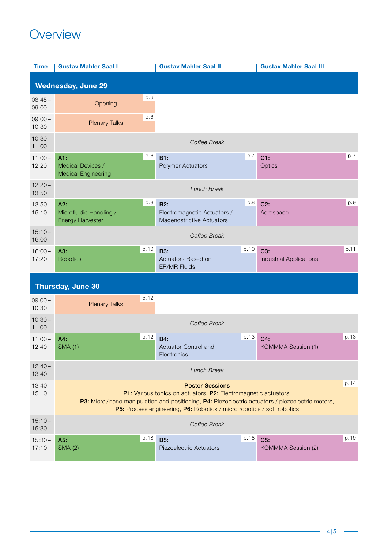## Overview Overview

| <b>Time</b>        | <b>Gustav Mahler Saal I</b>                                      | <b>Gustav Mahler Saal II</b>                                                              | <b>Gustav Mahler Saal III</b>                         |
|--------------------|------------------------------------------------------------------|-------------------------------------------------------------------------------------------|-------------------------------------------------------|
|                    | <b>Wednesday, June 29</b>                                        |                                                                                           |                                                       |
| $08:45-$<br>09:00  | p.6<br>Opening                                                   |                                                                                           |                                                       |
| $09:00 -$<br>10:30 | p.6<br><b>Plenary Talks</b>                                      |                                                                                           |                                                       |
| $10:30 -$<br>11:00 |                                                                  | Coffee Break                                                                              |                                                       |
| $11:00 -$<br>12:20 | p.6<br>A1:<br>Medical Devices /<br><b>Medical Engineering</b>    | B1:<br><b>Polymer Actuators</b>                                                           | p.7<br>p.7<br>$C1$ :<br>Optics                        |
| $12:20 -$<br>13:50 |                                                                  | <b>Lunch Break</b>                                                                        |                                                       |
| $13:50 -$<br>15:10 | p.8<br>A2:<br>Microfluidic Handling /<br><b>Energy Harvester</b> | <b>B2:</b><br>Electromagnetic Actuators /<br>Magenostrictive Actuators                    | p.9<br>p.8<br>C2:<br>Aerospace                        |
| $15:10 -$<br>16:00 |                                                                  | Coffee Break                                                                              |                                                       |
| $16:00 -$<br>17:20 | p.10<br>A3:<br><b>Robotics</b>                                   | <b>B3:</b><br>Actuators Based on<br>ER/MR Fluids                                          | p.11<br>p.10<br>C3:<br><b>Industrial Applications</b> |
|                    | Thursday, June 30                                                |                                                                                           |                                                       |
| $09:00 -$<br>10:30 | p.12<br><b>Plenary Talks</b>                                     |                                                                                           |                                                       |
| $10:30 -$<br>11:00 |                                                                  | Coffee Break                                                                              |                                                       |
| $11:00 -$<br>12:40 | p.12<br>A4:<br><b>SMA (1)</b>                                    | <b>B4:</b><br>Actuator Control and<br>Electronics                                         | p.13<br>p.13<br>C4:<br><b>KOMMMA Session (1)</b>      |
| $12:40 -$<br>13:40 |                                                                  | <b>Lunch Break</b>                                                                        |                                                       |
| $13:40-$<br>15:10  |                                                                  | <b>Poster Sessions</b><br>P1: Various topics on actuators, P2: Electromagnetic actuators, | p.14                                                  |

|                   | P3: Micro/nano manipulation and positioning, P4: Piezoelectric actuators / piezoelectric motors,<br><b>P5:</b> Process engineering, <b>P6:</b> Robotics / micro robotics / soft robotics |                         |      |                    |      |
|-------------------|------------------------------------------------------------------------------------------------------------------------------------------------------------------------------------------|-------------------------|------|--------------------|------|
| $15:10-$<br>15:30 |                                                                                                                                                                                          | Coffee Break            |      |                    |      |
| $15:30-$          | A5:                                                                                                                                                                                      | p.18<br><b>B5:</b>      | p.18 | C5:                | p.19 |
| 17:10             | <b>SMA (2)</b>                                                                                                                                                                           | Piezoelectric Actuators |      | KOMMMA Session (2) |      |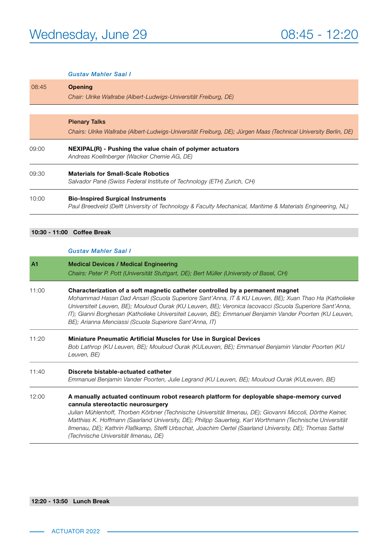#### *Gustav Mahler Saal I*

| 08:45 | <b>Opening</b>                                                                                                                                         |  |  |  |
|-------|--------------------------------------------------------------------------------------------------------------------------------------------------------|--|--|--|
|       | Chair: Ulrike Wallrabe (Albert-Ludwigs-Universität Freiburg, DE)                                                                                       |  |  |  |
|       |                                                                                                                                                        |  |  |  |
|       | <b>Plenary Talks</b>                                                                                                                                   |  |  |  |
|       | Chairs: Ulrike Wallrabe (Albert-Ludwigs-Universität Freiburg, DE); Jürgen Maas (Technical University Berlin, DE)                                       |  |  |  |
| 09:00 | NEXIPAL(R) - Pushing the value chain of polymer actuators<br>Andreas Koellnberger (Wacker Chemie AG, DE)                                               |  |  |  |
| 09:30 | <b>Materials for Small-Scale Robotics</b><br>Salvador Pané (Swiss Federal Institute of Technology (ETH) Zurich, CH)                                    |  |  |  |
| 10:00 | <b>Bio-Inspired Surgical Instruments</b><br>Paul Breedveld (Delft University of Technology & Faculty Mechanical, Maritime & Materials Engineering, NL) |  |  |  |

#### 10:30 - 11:00 Coffee Break

#### *Gustav Mahler Saal I*

| A1    | <b>Medical Devices / Medical Engineering</b><br>Chairs: Peter P. Pott (Universität Stuttgart, DE); Bert Müller (University of Basel, CH)                                                                                                                                                                                                                                                                                                                                                                    |  |  |
|-------|-------------------------------------------------------------------------------------------------------------------------------------------------------------------------------------------------------------------------------------------------------------------------------------------------------------------------------------------------------------------------------------------------------------------------------------------------------------------------------------------------------------|--|--|
| 11:00 | Characterization of a soft magnetic catheter controlled by a permanent magnet<br>Mohammad Hasan Dad Ansari (Scuola Superiore Sant'Anna, IT & KU Leuven, BE); Xuan Thao Ha (Katholieke<br>Universiteit Leuven, BE); Mouloud Ourak (KU Leuven, BE); Veronica lacovacci (Scuola Superiore Sant'Anna,<br>IT); Gianni Borghesan (Katholieke Universiteit Leuven, BE); Emmanuel Benjamin Vander Poorten (KU Leuven,<br>BE); Arianna Menciassi (Scuola Superiore Sant'Anna, IT)                                    |  |  |
| 11:20 | <b>Miniature Pneumatic Artificial Muscles for Use in Surgical Devices</b><br>Bob Lathrop (KU Leuven, BE); Mouloud Ourak (KULeuven, BE); Emmanuel Benjamin Vander Poorten (KU<br>Leuven, BE)                                                                                                                                                                                                                                                                                                                 |  |  |
| 11:40 | Discrete bistable-actuated catheter<br>Emmanuel Benjamin Vander Poorten, Julie Legrand (KU Leuven, BE); Mouloud Ourak (KULeuven, BE)                                                                                                                                                                                                                                                                                                                                                                        |  |  |
| 12:00 | A manually actuated continuum robot research platform for deployable shape-memory curved<br>cannula stereotactic neurosurgery<br>Julian Mühlenhoff, Thorben Körbner (Technische Universität Ilmenau, DE); Giovanni Miccoli, Dörthe Keiner,<br>Matthias K. Hoffmann (Saarland University, DE); Philipp Sauerteig, Karl Worthmann (Technische Universität<br>Ilmenau, DE); Kathrin Flaßkamp, Steffi Urbschat, Joachim Oertel (Saarland University, DE); Thomas Sattel<br>(Technische Universität Ilmenau, DE) |  |  |

#### 12:20 - 13:50 Lunch Break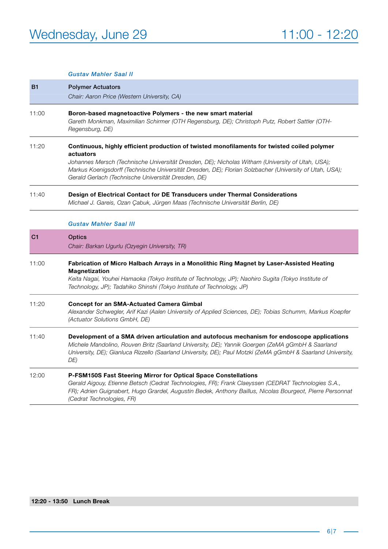|                | <b>Gustav Mahler Saal II</b>                                                                                                                                                                                                                                                                                                                                                   |
|----------------|--------------------------------------------------------------------------------------------------------------------------------------------------------------------------------------------------------------------------------------------------------------------------------------------------------------------------------------------------------------------------------|
| <b>B1</b>      | <b>Polymer Actuators</b>                                                                                                                                                                                                                                                                                                                                                       |
|                | Chair: Aaron Price (Western University, CA)                                                                                                                                                                                                                                                                                                                                    |
| 11:00          | Boron-based magnetoactive Polymers - the new smart material<br>Gareth Monkman, Maximilian Schirmer (OTH Regensburg, DE); Christoph Putz, Robert Sattler (OTH-<br>Regensburg, DE)                                                                                                                                                                                               |
| 11:20          | Continuous, highly efficient production of twisted monofilaments for twisted coiled polymer<br>actuators<br>Johannes Mersch (Technische Universität Dresden, DE); Nicholas Witham (University of Utah, USA);<br>Markus Koenigsdorff (Technische Universität Dresden, DE); Florian Solzbacher (University of Utah, USA);<br>Gerald Gerlach (Technische Universität Dresden, DE) |
| 11:40          | Design of Electrical Contact for DE Transducers under Thermal Considerations<br>Michael J. Gareis, Ozan Çabuk, Jürgen Maas (Technische Universität Berlin, DE)                                                                                                                                                                                                                 |
|                | <b>Gustav Mahler Saal III</b>                                                                                                                                                                                                                                                                                                                                                  |
| C <sub>1</sub> | Optics                                                                                                                                                                                                                                                                                                                                                                         |
|                | Chair: Barkan Ugurlu (Ozyegin University, TR)                                                                                                                                                                                                                                                                                                                                  |
| 11:00          | Fabrication of Micro Halbach Arrays in a Monolithic Ring Magnet by Laser-Assisted Heating<br><b>Magnetization</b><br>Keita Nagai, Youhei Hamaoka (Tokyo Institute of Technology, JP); Naohiro Sugita (Tokyo Institute of<br>Technology, JP); Tadahiko Shinshi (Tokyo Institute of Technology, JP)                                                                              |
| 11:20          | <b>Concept for an SMA-Actuated Camera Gimbal</b><br>Alexander Schwegler, Arif Kazi (Aalen University of Applied Sciences, DE); Tobias Schumm, Markus Koepfer<br>(Actuator Solutions GmbH, DE)                                                                                                                                                                                  |
| 11:40          | Development of a SMA driven articulation and autofocus mechanism for endoscope applications<br>Michele Mandolino, Rouven Britz (Saarland University, DE); Yannik Goergen (ZeMA gGmbH & Saarland<br>University, DE); Gianluca Rizzello (Saarland University, DE); Paul Motzki (ZeMA gGmbH & Saarland University,<br>DE)                                                         |
| 12:00          | <b>P-FSM150S Fast Steering Mirror for Optical Space Constellations</b><br>Gerald Aigouy, Etienne Betsch (Cedrat Technologies, FR); Frank Claeyssen (CEDRAT Technologies S.A.,<br>FR); Adrien Guignabert, Hugo Grardel, Augustin Bedek, Anthony Baillus, Nicolas Bourgeot, Pierre Personnat<br>(Cedrat Technologies, FR)                                                        |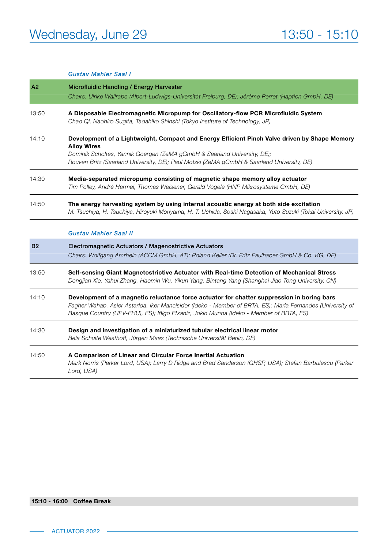#### *Gustav Mahler Saal I*

| A <sub>2</sub> | Microfluidic Handling / Energy Harvester                                                                                                                                                                                                                                                           |  |  |
|----------------|----------------------------------------------------------------------------------------------------------------------------------------------------------------------------------------------------------------------------------------------------------------------------------------------------|--|--|
|                | Chairs: Ulrike Wallrabe (Albert-Ludwigs-Universität Freiburg, DE); Jérôme Perret (Haption GmbH, DE)                                                                                                                                                                                                |  |  |
| 13:50          | A Disposable Electromagnetic Micropump for Oscillatory-flow PCR Microfluidic System<br>Chao Qi, Naohiro Sugita, Tadahiko Shinshi (Tokyo Institute of Technology, JP)                                                                                                                               |  |  |
| 14:10          | Development of a Lightweight, Compact and Energy Efficient Pinch Valve driven by Shape Memory<br><b>Alloy Wires</b>                                                                                                                                                                                |  |  |
|                | Dominik Scholtes, Yannik Goergen (ZeMA gGmbH & Saarland University, DE);<br>Rouven Britz (Saarland University, DE); Paul Motzki (ZeMA gGmbH & Saarland University, DE)                                                                                                                             |  |  |
| 14:30          | Media-separated micropump consisting of magnetic shape memory alloy actuator<br>Tim Polley, André Harmel, Thomas Weisener, Gerald Vögele (HNP Mikrosysteme GmbH, DE)                                                                                                                               |  |  |
| 14:50          | The energy harvesting system by using internal acoustic energy at both side excitation<br>M. Tsuchiya, H. Tsuchiya, Hiroyuki Moriyama, H. T. Uchida, Soshi Nagasaka, Yuto Suzuki (Tokai University, JP)                                                                                            |  |  |
|                | <b>Gustav Mahler Saal II</b>                                                                                                                                                                                                                                                                       |  |  |
| <b>B2</b>      | Electromagnetic Actuators / Magenostrictive Actuators<br>Chairs: Wolfgang Amrhein (ACCM GmbH, AT); Roland Keller (Dr. Fritz Faulhaber GmbH & Co. KG, DE)                                                                                                                                           |  |  |
| 13:50          | Self-sensing Giant Magnetostrictive Actuator with Real-time Detection of Mechanical Stress<br>Dongjian Xie, Yahui Zhang, Haomin Wu, Yikun Yang, Bintang Yang (Shanghai Jiao Tong University, CN)                                                                                                   |  |  |
| 14:10          | Development of a magnetic reluctance force actuator for chatter suppression in boring bars<br>Fagher Wahab, Asier Astarloa, Iker Mancisidor (Ideko - Member of BRTA, ES); Maria Fernandes (University of<br>Basque Country (UPV-EHU), ES); Iñigo Etxaniz, Jokin Munoa (Ideko - Member of BRTA, ES) |  |  |
| 14:30          | Design and investigation of a miniaturized tubular electrical linear motor<br>Bela Schulte Westhoff, Jürgen Maas (Technische Universität Berlin, DE)                                                                                                                                               |  |  |
| 14:50          | A Comparison of Linear and Circular Force Inertial Actuation<br>Mark Norris (Parker Lord, USA); Larry D Ridge and Brad Sanderson (GHSP, USA); Stefan Barbulescu (Parker<br>Lord, USA)                                                                                                              |  |  |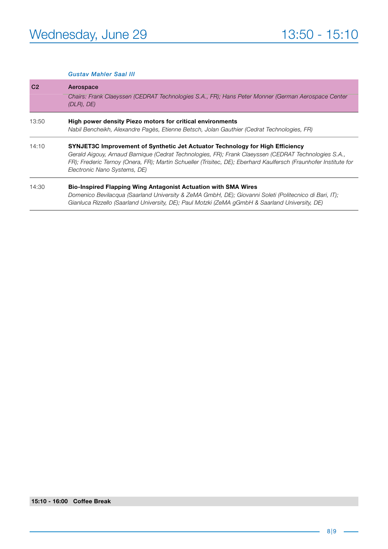|                | <b>Gustav Mahler Saal III</b>                                                                                                                                                                                                                                                                                                             |
|----------------|-------------------------------------------------------------------------------------------------------------------------------------------------------------------------------------------------------------------------------------------------------------------------------------------------------------------------------------------|
| C <sub>2</sub> | Aerospace<br>Chairs: Frank Claeyssen (CEDRAT Technologies S.A., FR); Hans Peter Monner (German Aerospace Center<br>(DLR), DE)                                                                                                                                                                                                             |
| 13:50          | High power density Piezo motors for critical environments<br>Nabil Bencheikh, Alexandre Pagès, Etienne Betsch, Jolan Gauthier (Cedrat Technologies, FR)                                                                                                                                                                                   |
| 14:10          | SYNJET3C Improvement of Synthetic Jet Actuator Technology for High Efficiency<br>Gerald Aigouy, Arnaud Barnique (Cedrat Technologies, FR); Frank Claeyssen (CEDRAT Technologies S.A.,<br>FR); Frederic Ternoy (Onera, FR); Martin Schueller (Trisitec, DE); Eberhard Kaulfersch (Fraunhofer Institute for<br>Electronic Nano Systems, DE) |
| 14:30          | <b>Bio-Inspired Flapping Wing Antagonist Actuation with SMA Wires</b><br>Domenico Bevilacqua (Saarland University & ZeMA GmbH, DE); Giovanni Soleti (Politecnico di Bari, IT);<br>Gianluca Rizzello (Saarland University, DE); Paul Motzki (ZeMA gGmbH & Saarland University, DE)                                                         |

#### 15:10 - 16:00 Coffee Break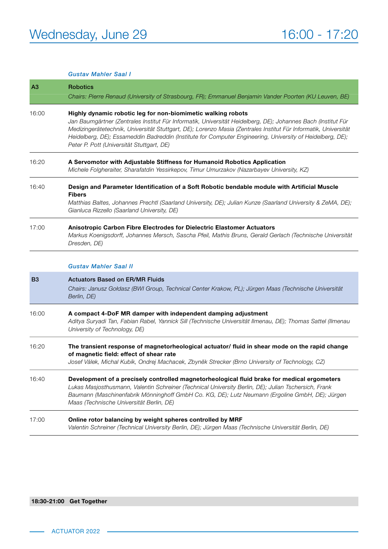#### *Gustav Mahler Saal I*

| A <sub>3</sub> | <b>Robotics</b><br>Chairs: Pierre Renaud (University of Strasbourg, FR); Emmanuel Benjamin Vander Poorten (KU Leuven, BE)                                                                                                                                                                                                                                                                                                                                 |  |
|----------------|-----------------------------------------------------------------------------------------------------------------------------------------------------------------------------------------------------------------------------------------------------------------------------------------------------------------------------------------------------------------------------------------------------------------------------------------------------------|--|
| 16:00          | Highly dynamic robotic leg for non-biomimetic walking robots<br>Jan Baumgärtner (Zentrales Institut Für Informatik, Universität Heidelberg, DE); Johannes Bach (Institut Für<br>Medizingerätetechnik, Universität Stuttgart, DE); Lorenzo Masia (Zentrales Institut Für Informatik, Universität<br>Heidelberg, DE); Essameddin Badreddin (Institute for Computer Engineering, University of Heidelberg, DE);<br>Peter P. Pott (Universität Stuttgart, DE) |  |
| 16:20          | A Servomotor with Adjustable Stiffness for Humanoid Robotics Application<br>Michele Folgheraiter, Sharafatdin Yessirkepov, Timur Umurzakov (Nazarbayev University, KZ)                                                                                                                                                                                                                                                                                    |  |
| 16:40          | Design and Parameter Identification of a Soft Robotic bendable module with Artificial Muscle<br><b>Fibers</b><br>Matthias Baltes, Johannes Prechtl (Saarland University, DE); Julian Kunze (Saarland University & ZeMA, DE);<br>Gianluca Rizzello (Saarland University, DE)                                                                                                                                                                               |  |
| 17:00          | Anisotropic Carbon Fibre Electrodes for Dielectric Elastomer Actuators<br>Markus Koenigsdorff, Johannes Mersch, Sascha Pfeil, Mathis Bruns, Gerald Gerlach (Technische Universität<br>Dresden, DE)                                                                                                                                                                                                                                                        |  |
|                | <b>Gustav Mahler Saal II</b>                                                                                                                                                                                                                                                                                                                                                                                                                              |  |
| B <sub>3</sub> | <b>Actuators Based on ER/MR Fluids</b><br>Chairs: Janusz Goldasz (BWI Group, Technical Center Krakow, PL); Jürgen Maas (Technische Universität<br>Berlin, DE)                                                                                                                                                                                                                                                                                             |  |
| 16:00          | A compact 4-DoF MR damper with independent damping adjustment<br>Aditya Suryadi Tan, Fabian Rabel, Yannick Sill (Technische Universität Ilmenau, DE); Thomas Sattel (Ilmenau<br>University of Technology, DE)                                                                                                                                                                                                                                             |  |
| 16:20          | The transient response of magnetorheological actuator/ fluid in shear mode on the rapid change<br>of magnetic field: effect of shear rate<br>Josef Válek, Michal Kubík, Ondrej Machacek, Zbyněk Strecker (Brno University of Technology, CZ)                                                                                                                                                                                                              |  |
| 16:40          | Development of a precisely controlled magnetorheological fluid brake for medical ergometers<br>Lukas Masjosthusmann, Valentin Schreiner (Technical University Berlin, DE); Julian Tschersich, Frank<br>Baumann (Maschinenfabrik Mönninghoff GmbH Co. KG, DE); Lutz Neumann (Ergoline GmbH, DE); Jürgen<br>Maas (Technische Universität Berlin, DE)                                                                                                        |  |
| 17:00          | Online rotor balancing by weight spheres controlled by MRF<br>Valentin Schreiner (Technical University Berlin, DE); Jürgen Maas (Technische Universität Berlin, DE)                                                                                                                                                                                                                                                                                       |  |

#### 18:30-21:00 Get Together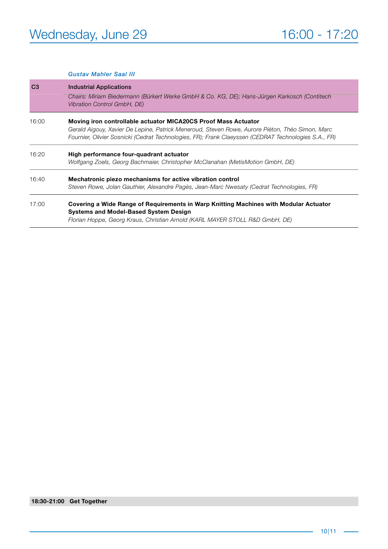#### *Gustav Mahler Saal III*

| C <sub>3</sub> | <b>Industrial Applications</b>                                                                                                                                                                                                                                            |  |  |
|----------------|---------------------------------------------------------------------------------------------------------------------------------------------------------------------------------------------------------------------------------------------------------------------------|--|--|
|                | Chairs: Miriam Biedermann (Bürkert Werke GmbH & Co. KG, DE); Hans-Jürgen Karkosch (Contitech<br>Vibration Control GmbH, DE)                                                                                                                                               |  |  |
| 16:00          | Moving iron controllable actuator MICA20CS Proof Mass Actuator<br>Gerald Aigouy, Xavier De Lepine, Patrick Meneroud, Steven Rowe, Aurore Piéton, Théo Simon, Marc<br>Fournier, Olivier Sosnicki (Cedrat Technologies, FR); Frank Claeyssen (CEDRAT Technologies S.A., FR) |  |  |
| 16:20          | High performance four-quadrant actuator<br>Wolfgang Zoels, Georg Bachmaier, Christopher McClanahan (MetisMotion GmbH, DE)                                                                                                                                                 |  |  |
| 16:40          | Mechatronic piezo mechanisms for active vibration control<br>Steven Rowe, Jolan Gauthier, Alexandre Pagès, Jean-Marc Nwesaty (Cedrat Technologies, FR)                                                                                                                    |  |  |
| 17:00          | Covering a Wide Range of Requirements in Warp Knitting Machines with Modular Actuator<br><b>Systems and Model-Based System Design</b><br>Florian Hoppe, Georg Kraus, Christian Arnold (KARL MAYER STOLL R&D GmbH, DE)                                                     |  |  |
|                |                                                                                                                                                                                                                                                                           |  |  |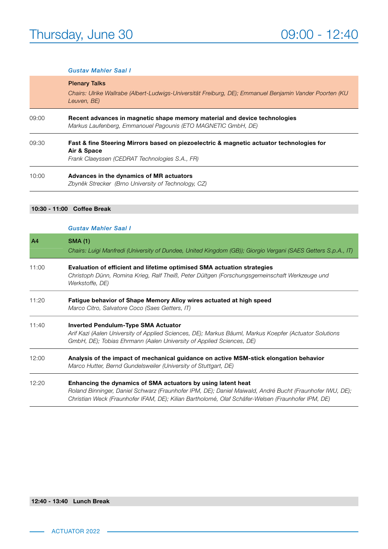#### *Gustav Mahler Saal I*

|       | <b>Plenary Talks</b><br>Chairs: Ulrike Wallrabe (Albert-Ludwigs-Universität Freiburg, DE); Emmanuel Benjamin Vander Poorten (KU<br>Leuven, BE)            |  |
|-------|-----------------------------------------------------------------------------------------------------------------------------------------------------------|--|
| 09:00 | Recent advances in magnetic shape memory material and device technologies<br>Markus Laufenberg, Emmanouel Pagounis (ETO MAGNETIC GmbH, DE)                |  |
| 09:30 | Fast & fine Steering Mirrors based on piezoelectric & magnetic actuator technologies for<br>Air & Space<br>Frank Claeyssen (CEDRAT Technologies S.A., FR) |  |
| 10:00 | Advances in the dynamics of MR actuators<br>Zbyněk Strecker (Brno University of Technology, CZ)                                                           |  |

#### 10:30 - 11:00 Coffee Break

#### *Gustav Mahler Saal I*

| A4    | <b>SMA (1)</b><br>Chairs: Luigi Manfredi (University of Dundee, United Kingdom (GB)); Giorgio Vergani (SAES Getters S.p.A., IT)                                                                                                                                               |
|-------|-------------------------------------------------------------------------------------------------------------------------------------------------------------------------------------------------------------------------------------------------------------------------------|
| 11:00 | Evaluation of efficient and lifetime optimised SMA actuation strategies<br>Christoph Dünn, Romina Krieg, Ralf Theiß, Peter Dültgen (Forschungsgemeinschaft Werkzeuge und<br>Werkstoffe, DE)                                                                                   |
| 11:20 | Fatigue behavior of Shape Memory Alloy wires actuated at high speed<br>Marco Citro, Salvatore Coco (Saes Getters, IT)                                                                                                                                                         |
| 11:40 | <b>Inverted Pendulum-Type SMA Actuator</b><br>Arif Kazi (Aalen University of Applied Sciences, DE); Markus Bäuml, Markus Koepfer (Actuator Solutions<br>GmbH, DE); Tobias Ehrmann (Aalen University of Applied Sciences, DE)                                                  |
| 12:00 | Analysis of the impact of mechanical guidance on active MSM-stick elongation behavior<br>Marco Hutter, Bernd Gundelsweiler (University of Stuttgart, DE)                                                                                                                      |
| 12:20 | Enhancing the dynamics of SMA actuators by using latent heat<br>Roland Binninger, Daniel Schwarz (Fraunhofer IPM, DE); Daniel Maiwald, André Bucht (Fraunhofer IWU, DE);<br>Christian Weck (Fraunhofer IFAM, DE); Kilian Bartholomé, Olaf Schäfer-Welsen (Fraunhofer IPM, DE) |

#### 12:40 - 13:40 Lunch Break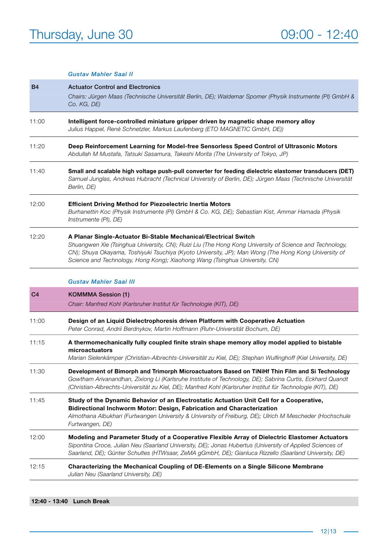#### *Gustav Mahler Saal II*

| <b>B4</b>      | <b>Actuator Control and Electronics</b><br>Chairs: Jürgen Maas (Technische Universität Berlin, DE); Waldemar Spomer (Physik Instrumente (PI) GmbH &<br>Co. KG, DE)                                                                                                                                                                                                |  |  |  |
|----------------|-------------------------------------------------------------------------------------------------------------------------------------------------------------------------------------------------------------------------------------------------------------------------------------------------------------------------------------------------------------------|--|--|--|
| 11:00          | Intelligent force-controlled miniature gripper driven by magnetic shape memory alloy<br>Julius Happel, René Schnetzler, Markus Laufenberg (ETO MAGNETIC GmbH, DE))                                                                                                                                                                                                |  |  |  |
| 11:20          | Deep Reinforcement Learning for Model-free Sensorless Speed Control of Ultrasonic Motors<br>Abdullah M Mustafa, Tatsuki Sasamura, Takeshi Morita (The University of Tokyo, JP)                                                                                                                                                                                    |  |  |  |
| 11:40          | Small and scalable high voltage push-pull converter for feeding dielectric elastomer transducers (DET)<br>Samuel Junglas, Andreas Hubracht (Technical University of Berlin, DE); Jürgen Maas (Technische Universität<br>Berlin, DE)                                                                                                                               |  |  |  |
| 12:00          | <b>Efficient Driving Method for Piezoelectric Inertia Motors</b><br>Burhanettin Koc (Physik Instrumente (PI) GmbH & Co. KG, DE); Sebastian Kist, Ammar Hamada (Physik<br>Instrumente (PI), DE)                                                                                                                                                                    |  |  |  |
| 12:20          | A Planar Single-Actuator Bi-Stable Mechanical/Electrical Switch<br>Shuangwen Xie (Tsinghua University, CN); Ruizi Liu (The Hong Kong University of Science and Technology,<br>CN); Shuya Okayama, Toshiyuki Tsuchiya (Kyoto University, JP); Man Wong (The Hong Kong University of<br>Science and Technology, Hong Kong); Xiaohong Wang (Tsinghua University, CN) |  |  |  |
|                | <b>Gustav Mahler Saal III</b>                                                                                                                                                                                                                                                                                                                                     |  |  |  |
| C <sub>4</sub> | <b>KOMMMA Session (1)</b><br>Chair: Manfred Kohl (Karlsruher Institut für Technologie (KIT), DE)                                                                                                                                                                                                                                                                  |  |  |  |
| 11:00          | Design of an Liquid Dielectrophoresis driven Platform with Cooperative Actuation<br>Peter Conrad, Andrii Berdnykov, Martin Hoffmann (Ruhr-Universität Bochum, DE)                                                                                                                                                                                                 |  |  |  |
| 11:15          | A thermomechanically fully coupled finite strain shape memory alloy model applied to bistable<br>microactuators<br>Marian Sielenkämper (Christian-Albrechts-Universität zu Kiel, DE); Stephan Wulfinghoff (Kiel University, DE)                                                                                                                                   |  |  |  |
| 11:30          | Development of Bimorph and Trimorph Microactuators Based on TiNiHf Thin Film and Si Technology<br>Gowtham Arivanandhan, Zixiong Li (Karlsruhe Institute of Technology, DE); Sabrina Curtis, Eckhard Quandt<br>(Christian-Albrechts-Universität zu Kiel, DE); Manfred Kohl (Karlsruher Institut für Technologie (KIT), DE)                                         |  |  |  |
| 11:45          | Study of the Dynamic Behavior of an Electrostatic Actuation Unit Cell for a Cooperative,<br>Bidirectional Inchworm Motor: Design, Fabrication and Characterization<br>Almothana Albukhari (Furtwangen University & University of Freiburg, DE); Ulrich M Mescheder (Hochschule<br>Furtwangen, DE)                                                                 |  |  |  |
| 12:00          | Modeling and Parameter Study of a Cooperative Flexible Array of Dielectric Elastomer Actuators<br>Sipontina Croce, Julian Neu (Saarland University, DE); Jonas Hubertus (University of Applied Sciences of<br>Saarland, DE); Günter Schultes (HTWsaar, ZeMA gGmbH, DE); Gianluca Rizzello (Saarland University, DE)                                               |  |  |  |
| 12:15          | Characterizing the Mechanical Coupling of DE-Elements on a Single Silicone Membrane<br>Julian Neu (Saarland University, DE)                                                                                                                                                                                                                                       |  |  |  |

12:40 - 13:40 Lunch Break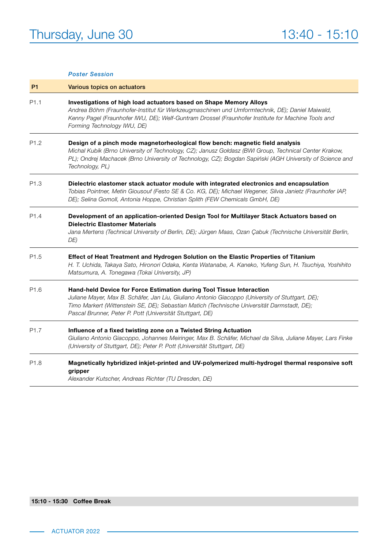|                  | <b>Poster Session</b>                                                                                                                                                                                                                                                                                                 |  |
|------------------|-----------------------------------------------------------------------------------------------------------------------------------------------------------------------------------------------------------------------------------------------------------------------------------------------------------------------|--|
| P <sub>1</sub>   | Various topics on actuators                                                                                                                                                                                                                                                                                           |  |
| P <sub>1.1</sub> | Investigations of high load actuators based on Shape Memory Alloys<br>Andrea Böhm (Fraunhofer-Institut für Werkzeugmaschinen und Umformtechnik, DE); Daniel Maiwald,<br>Kenny Pagel (Fraunhofer IWU, DE); Welf-Guntram Drossel (Fraunhofer Institute for Machine Tools and<br>Forming Technology IWU, DE)             |  |
| P <sub>1.2</sub> | Design of a pinch mode magnetorheological flow bench: magnetic field analysis<br>Michal Kubík (Brno University of Technology, CZ); Janusz Goldasz (BWI Group, Technical Center Krakow,<br>PL); Ondrej Machacek (Brno University of Technology, CZ); Bogdan Sapiński (AGH University of Science and<br>Technology, PL) |  |
| P1.3             | Dielectric elastomer stack actuator module with integrated electronics and encapsulation<br>Tobias Pointner, Metin Giousouf (Festo SE & Co. KG, DE); Michael Wegener, Silvia Janietz (Fraunhofer IAP,<br>DE); Selina Gomoll, Antonia Hoppe, Christian Splith (FEW Chemicals GmbH, DE)                                 |  |
| P <sub>1.4</sub> | Development of an application-oriented Design Tool for Multilayer Stack Actuators based on<br><b>Dielectric Elastomer Materials</b><br>Jana Mertens (Technical University of Berlin, DE); Jürgen Maas, Ozan Çabuk (Technische Universität Berlin,<br>DE)                                                              |  |
| P <sub>1.5</sub> | Effect of Heat Treatment and Hydrogen Solution on the Elastic Properties of Titanium<br>H. T. Uchida, Takaya Sato, Hironori Odaka, Kenta Watanabe, A. Kaneko, Yufeng Sun, H. Tsuchiya, Yoshihito<br>Matsumura, A. Tonegawa (Tokai University, JP)                                                                     |  |
| P <sub>1.6</sub> | Hand-held Device for Force Estimation during Tool Tissue Interaction                                                                                                                                                                                                                                                  |  |

#### *Juliane Mayer, Max B. Schäfer, Jan Liu, Giuliano Antonio Giacoppo (University of Stuttgart, DE); Timo Markert (Wittenstein SE, DE); Sebastian Matich (Technische Universität Darmstadt, DE); Pascal Brunner, Peter P. Pott (Universität Stuttgart, DE)*

P1.7 Influence of a fixed twisting zone on a Twisted String Actuation *Giuliano Antonio Giacoppo, Johannes Meiringer, Max B. Schäfer, Michael da Silva, Juliane Mayer, Lars Finke (University of Stuttgart, DE); Peter P. Pott (Universität Stuttgart, DE)*

#### P1.8 Magnetically hybridized inkjet-printed and UV-polymerized multi-hydrogel thermal responsive soft gripper

*Alexander Kutscher, Andreas Richter (TU Dresden, DE)*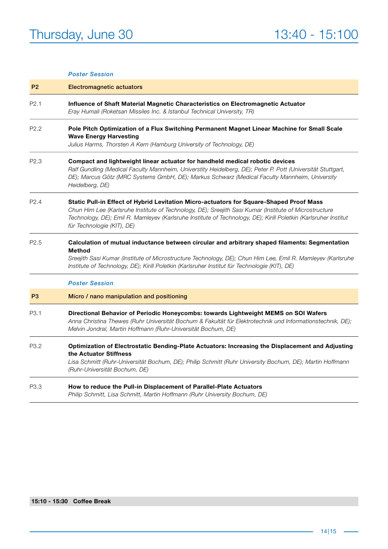#### *Poster Session*

| P <sub>2</sub>   | <b>Electromagnetic actuators</b>                                                                                                                                                                                                                                                                                                                   |  |  |  |
|------------------|----------------------------------------------------------------------------------------------------------------------------------------------------------------------------------------------------------------------------------------------------------------------------------------------------------------------------------------------------|--|--|--|
| P <sub>2.1</sub> | Influence of Shaft Material Magnetic Characteristics on Electromagnetic Actuator<br>Eray Humali (Roketsan Missiles Inc. & Istanbul Technical University, TR)                                                                                                                                                                                       |  |  |  |
| P <sub>2.2</sub> | Pole Pitch Optimization of a Flux Switching Permanent Magnet Linear Machine for Small Scale<br><b>Wave Energy Harvesting</b><br>Julius Harms, Thorsten A Kern (Hamburg University of Technology, DE)                                                                                                                                               |  |  |  |
| P2.3             | Compact and lightweight linear actuator for handheld medical robotic devices<br>Ralf Gundling (Medical Faculty Mannheim, Universtity Heidelberg, DE); Peter P. Pott (Universität Stuttgart,<br>DE); Marcus Götz (MRC Systems GmbH, DE); Markus Schwarz (Medical Faculty Mannheim, University<br>Heidelberg, DE)                                    |  |  |  |
| P <sub>2.4</sub> | Static Pull-in Effect of Hybrid Levitation Micro-actuators for Square-Shaped Proof Mass<br>Chun Him Lee (Karlsruhe Institute of Technology, DE); Sreejith Sasi Kumar (Institute of Microstructure<br>Technology, DE); Emil R. Mamleyev (Karlsruhe Institute of Technology, DE); Kirill Poletkin (Karlsruher Institut<br>für Technologie (KIT), DE) |  |  |  |
| P <sub>2.5</sub> | Calculation of mutual inductance between circular and arbitrary shaped filaments: Segmentation<br><b>Method</b><br>Sreejith Sasi Kumar (Institute of Microstructure Technology, DE); Chun Him Lee, Emil R. Mamleyev (Karlsruhe<br>Institute of Technology, DE); Kirill Poletkin (Karlsruher Institut für Technologie (KIT), DE)                    |  |  |  |
|                  | <b>Poster Session</b>                                                                                                                                                                                                                                                                                                                              |  |  |  |
| P <sub>3</sub>   | Micro / nano manipulation and positioning                                                                                                                                                                                                                                                                                                          |  |  |  |
| P3.1             | Directional Behavior of Periodic Honeycombs: towards Lightweight MEMS on SOI Wafers<br>Anna Christina Thewes (Ruhr Universität Bochum & Fakultät für Elektrotechnik und Informationstechnik, DE);<br>Melvin Jondral, Martin Hoffmann (Ruhr-Universität Bochum, DE)                                                                                 |  |  |  |
| P <sub>3.2</sub> | Optimization of Electrostatic Bending-Plate Actuators: Increasing the Displacement and Adjusting<br>the Actuator Stiffness<br>Lisa Schmitt (Ruhr-Universität Bochum, DE); Philip Schmitt (Ruhr University Bochum, DE); Martin Hoffmann<br>(Ruhr-Universität Bochum, DE)                                                                            |  |  |  |
| P3.3             | How to reduce the Pull-in Displacement of Parallel-Plate Actuators<br>Philip Schmitt, Lisa Schmitt, Martin Hoffmann (Ruhr University Bochum, DE)                                                                                                                                                                                                   |  |  |  |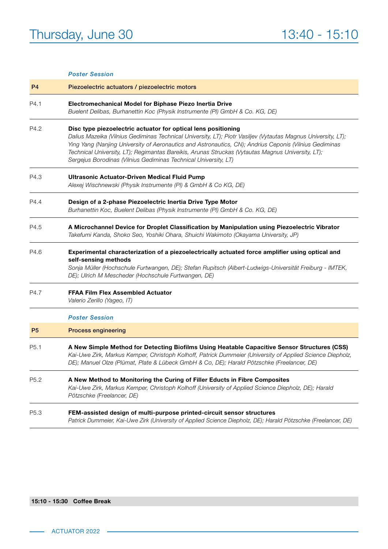#### *Poster Session*

| P <sub>4</sub>   | Piezoelectric actuators / piezoelectric motors                                                                                                                                                                                                                                                                                                                                                                                                                   |  |  |
|------------------|------------------------------------------------------------------------------------------------------------------------------------------------------------------------------------------------------------------------------------------------------------------------------------------------------------------------------------------------------------------------------------------------------------------------------------------------------------------|--|--|
| P4.1             | Electromechanical Model for Biphase Piezo Inertia Drive<br>Buelent Delibas, Burhanettin Koc (Physik Instrumente (PI) GmbH & Co. KG, DE)                                                                                                                                                                                                                                                                                                                          |  |  |
| P4.2             | Disc type piezoelectric actuator for optical lens positioning<br>Dalius Mazeika (Vilnius Gediminas Technical University, LT); Piotr Vasiljev (Vytautas Magnus University, LT);<br>Ying Yang (Nanjing University of Aeronautics and Astronautics, CN); Andrius Ceponis (Vilnius Gediminas<br>Technical University, LT); Regimantas Bareikis, Arunas Struckas (Vytautas Magnus University, LT);<br>Sergejus Borodinas (Vilnius Gediminas Technical University, LT) |  |  |
| P4.3             | <b>Ultrasonic Actuator-Driven Medical Fluid Pump</b><br>Alexej Wischnewski (Physik Instrumente (PI) & GmbH & Co KG, DE)                                                                                                                                                                                                                                                                                                                                          |  |  |
| P4.4             | Design of a 2-phase Piezoelectric Inertia Drive Type Motor<br>Burhanettin Koc, Buelent Delibas (Physik Instrumente (PI) GmbH & Co. KG, DE)                                                                                                                                                                                                                                                                                                                       |  |  |
| P4.5             | A Microchannel Device for Droplet Classification by Manipulation using Piezoelectric Vibrator<br>Takefumi Kanda, Shoko Seo, Yoshiki Ohara, Shuichi Wakimoto (Okayama University, JP)                                                                                                                                                                                                                                                                             |  |  |
| P4.6             | Experimental characterization of a piezoelectrically actuated force amplifier using optical and<br>self-sensing methods<br>Sonja Müller (Hochschule Furtwangen, DE); Stefan Rupitsch (Albert-Ludwigs-Universität Freiburg - IMTEK,<br>DE); Ulrich M Mescheder (Hochschule Furtwangen, DE)                                                                                                                                                                        |  |  |
| P4.7             | <b>FFAA Film Flex Assembled Actuator</b><br>Valerio Zerillo (Yageo, IT)                                                                                                                                                                                                                                                                                                                                                                                          |  |  |
|                  | <b>Poster Session</b>                                                                                                                                                                                                                                                                                                                                                                                                                                            |  |  |
| P <sub>5</sub>   | <b>Process engineering</b>                                                                                                                                                                                                                                                                                                                                                                                                                                       |  |  |
| P <sub>5.1</sub> | A New Simple Method for Detecting Biofilms Using Heatable Capacitive Sensor Structures (CSS)<br>Kai-Uwe Zirk, Markus Kemper, Christoph Kolhoff, Patrick Dummeier (University of Applied Science Diepholz,<br>DE); Manuel Olze (Plümat, Plate & Lübeck GmbH & Co, DE); Harald Pötzschke (Freelancer, DE)                                                                                                                                                          |  |  |
| P <sub>5.2</sub> | A New Method to Monitoring the Curing of Filler Educts in Fibre Composites<br>Kai-Uwe Zirk, Markus Kemper, Christoph Kolhoff (University of Applied Science Diepholz, DE); Harald<br>Pötzschke (Freelancer, DE)                                                                                                                                                                                                                                                  |  |  |
| P5.3             | FEM-assisted design of multi-purpose printed-circuit sensor structures<br>Patrick Dummeier, Kai-Uwe Zirk (University of Applied Science Diepholz, DE); Harald Pötzschke (Freelancer, DE)                                                                                                                                                                                                                                                                         |  |  |

#### 15:10 - 15:30 Coffee Break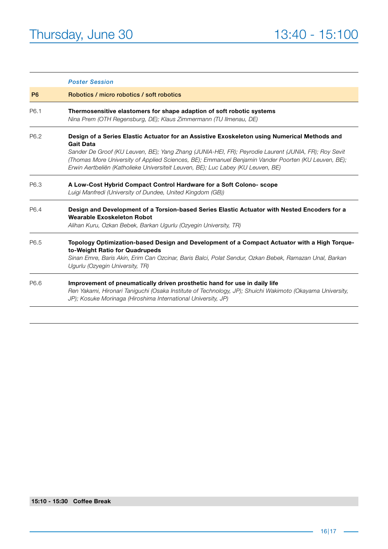|                  | <b>Poster Session</b>                                                                                                                                                                                                                                                                                                                                                                                               |  |
|------------------|---------------------------------------------------------------------------------------------------------------------------------------------------------------------------------------------------------------------------------------------------------------------------------------------------------------------------------------------------------------------------------------------------------------------|--|
| P <sub>6</sub>   | Robotics / micro robotics / soft robotics                                                                                                                                                                                                                                                                                                                                                                           |  |
| P6.1             | Thermosensitive elastomers for shape adaption of soft robotic systems<br>Nina Prem (OTH Regensburg, DE); Klaus Zimmermann (TU Ilmenau, DE)                                                                                                                                                                                                                                                                          |  |
| P <sub>6.2</sub> | Design of a Series Elastic Actuator for an Assistive Exoskeleton using Numerical Methods and<br><b>Gait Data</b><br>Sander De Groof (KU Leuven, BE); Yang Zhang (JUNIA-HEI, FR); Peyrodie Laurent (JUNIA, FR); Roy Sevit<br>(Thomas More University of Applied Sciences, BE); Emmanuel Benjamin Vander Poorten (KU Leuven, BE);<br>Erwin Aertbeliën (Katholieke Universiteit Leuven, BE); Luc Labey (KU Leuven, BE) |  |
| P6.3             | A Low-Cost Hybrid Compact Control Hardware for a Soft Colono- scope<br>Luigi Manfredi (University of Dundee, United Kingdom (GB))                                                                                                                                                                                                                                                                                   |  |
| P6.4             | Design and Development of a Torsion-based Series Elastic Actuator with Nested Encoders for a<br>Wearable Exoskeleton Robot<br>Alihan Kuru, Ozkan Bebek, Barkan Ugurlu (Ozyegin University, TR)                                                                                                                                                                                                                      |  |
| P6.5             | Topology Optimization-based Design and Development of a Compact Actuator with a High Torque-<br>to-Weight Ratio for Quadrupeds<br>Sinan Emre, Baris Akin, Erim Can Ozcinar, Baris Balci, Polat Sendur, Ozkan Bebek, Ramazan Unal, Barkan<br>Ugurlu (Ozyegin University, TR)                                                                                                                                         |  |
| P6.6             | Improvement of pneumatically driven prosthetic hand for use in daily life<br>Ren Yakami, Hironari Taniguchi (Osaka Institute of Technology, JP); Shuichi Wakimoto (Okayama University,<br>JP); Kosuke Morinaga (Hiroshima International University, JP)                                                                                                                                                             |  |

#### 15:10 - 15:30 Coffee Break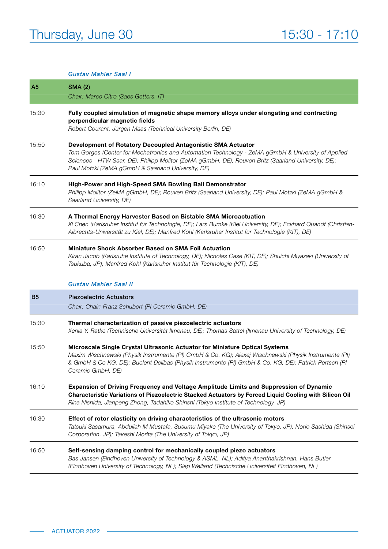|                | <b>Gustav Mahler Saal I</b>                                                                                                                                                                                                                                                                                                    |  |  |
|----------------|--------------------------------------------------------------------------------------------------------------------------------------------------------------------------------------------------------------------------------------------------------------------------------------------------------------------------------|--|--|
| A <sub>5</sub> | <b>SMA (2)</b><br>Chair: Marco Citro (Saes Getters, IT)                                                                                                                                                                                                                                                                        |  |  |
| 15:30          | Fully coupled simulation of magnetic shape memory alloys under elongating and contracting<br>perpendicular magnetic fields<br>Robert Courant, Jürgen Maas (Technical University Berlin, DE)                                                                                                                                    |  |  |
| 15:50          | Development of Rotatory Decoupled Antagonistic SMA Actuator<br>Tom Gorges (Center for Mechatronics and Automation Technology - ZeMA gGmbH & University of Applied<br>Sciences - HTW Saar, DE); Philipp Molitor (ZeMA gGmbH, DE); Rouven Britz (Saarland University, DE);<br>Paul Motzki (ZeMA gGmbH & Saarland University, DE) |  |  |
| 16:10          | High-Power and High-Speed SMA Bowling Ball Demonstrator<br>Philipp Molitor (ZeMA gGmbH, DE); Rouven Britz (Saarland University, DE); Paul Motzki (ZeMA gGmbH &<br>Saarland University, DE)                                                                                                                                     |  |  |
| 16:30          | A Thermal Energy Harvester Based on Bistable SMA Microactuation<br>Xi Chen (Karlsruher Institut für Technologie, DE); Lars Bumke (Kiel University, DE); Eckhard Quandt (Christian-<br>Albrechts-Universität zu Kiel, DE); Manfred Kohl (Karlsruher Institut für Technologie (KIT), DE)                                         |  |  |
| 16:50          | Miniature Shock Absorber Based on SMA Foil Actuation<br>Kiran Jacob (Karlsruhe Institute of Technology, DE); Nicholas Case (KIT, DE); Shuichi Miyazaki (University of<br>Tsukuba, JP); Manfred Kohl (Karlsruher Institut für Technologie (KIT), DE)                                                                            |  |  |
|                | <b>Gustav Mahler Saal II</b>                                                                                                                                                                                                                                                                                                   |  |  |
| B <sub>5</sub> | <b>Piezoelectric Actuators</b><br>Chair: Chair: Franz Schubert (PI Ceramic GmbH, DE)                                                                                                                                                                                                                                           |  |  |
| 15:30          | Thermal characterization of passive piezoelectric actuators<br>Xenia Y. Ratke (Technische Universität Ilmenau, DE); Thomas Sattel (Ilmenau University of Technology, DE)                                                                                                                                                       |  |  |
| 15:50          | Microscale Single Crystal Ultrasonic Actuator for Miniature Optical Systems<br>Maxim Wischnewski (Physik Instrumente (PI) GmbH & Co. KG); Alexej Wischnewski (Physik Instrumente (PI)<br>& GmbH & Co KG, DE); Buelent Delibas (Physik Instrumente (PI) GmbH & Co. KG, DE); Patrick Pertsch (PI<br>Ceramic GmbH, DE)            |  |  |
| 16:10          | Expansion of Driving Frequency and Voltage Amplitude Limits and Suppression of Dynamic<br>Characteristic Variations of Piezoelectric Stacked Actuators by Forced Liquid Cooling with Silicon Oil<br>Rina Nishida, Jianpeng Zhong, Tadahiko Shinshi (Tokyo Institute of Technology, JP)                                         |  |  |
| 16:30          | Effect of rotor elasticity on driving characteristics of the ultrasonic motors<br>Tatsuki Sasamura, Abdullah M Mustafa, Susumu Miyake (The University of Tokyo, JP); Norio Sashida (Shinsei<br>Corporation, JP); Takeshi Morita (The University of Tokyo, JP)                                                                  |  |  |
| 16:50          | Self-sensing damping control for mechanically coupled piezo actuators<br>Bas Jansen (Eindhoven University of Technology & ASML, NL); Aditya Ananthakrishnan, Hans Butler<br>(Eindhoven University of Technology, NL); Siep Weiland (Technische Universiteit Eindhoven, NL)                                                     |  |  |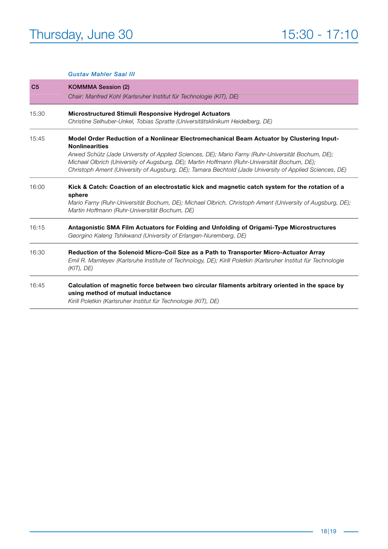#### *Gustav Mahler Saal III*

| C <sub>5</sub> | <b>KOMMMA Session (2)</b><br>Chair: Manfred Kohl (Karlsruher Institut für Technologie (KIT), DE)                                                                                                                                                                                                                                                                                                                                    |  |  |
|----------------|-------------------------------------------------------------------------------------------------------------------------------------------------------------------------------------------------------------------------------------------------------------------------------------------------------------------------------------------------------------------------------------------------------------------------------------|--|--|
|                |                                                                                                                                                                                                                                                                                                                                                                                                                                     |  |  |
| 15:30          | <b>Microstructured Stimuli Responsive Hydrogel Actuators</b><br>Christine Selhuber-Unkel, Tobias Spratte (Universitätsklinikum Heidelberg, DE)                                                                                                                                                                                                                                                                                      |  |  |
| 15:45          | Model Order Reduction of a Nonlinear Electromechanical Beam Actuator by Clustering Input-<br><b>Nonlinearities</b><br>Arwed Schütz (Jade University of Applied Sciences, DE); Mario Farny (Ruhr-Universität Bochum, DE);<br>Michael Olbrich (University of Augsburg, DE); Martin Hoffmann (Ruhr-Universität Bochum, DE);<br>Christoph Ament (University of Augsburg, DE); Tamara Bechtold (Jade University of Applied Sciences, DE) |  |  |
| 16:00          | Kick & Catch: Coaction of an electrostatic kick and magnetic catch system for the rotation of a<br>sphere<br>Mario Farny (Ruhr-Universität Bochum, DE); Michael Olbrich, Christoph Ament (University of Augsburg, DE);<br>Martin Hoffmann (Ruhr-Universität Bochum, DE)                                                                                                                                                             |  |  |
| 16:15          | Antagonistic SMA Film Actuators for Folding and Unfolding of Origami-Type Microstructures<br>Georgino Kaleng Tshikwand (University of Erlangen-Nuremberg, DE)                                                                                                                                                                                                                                                                       |  |  |
| 16:30          | Reduction of the Solenoid Micro-Coil Size as a Path to Transporter Micro-Actuator Array<br>Emil R. Mamleyev (Karlsruhe Institute of Technology, DE); Kirill Poletkin (Karlsruher Institut für Technologie<br>$(KIT)$ , DE)                                                                                                                                                                                                          |  |  |
| 16:45          | Calculation of magnetic force between two circular filaments arbitrary oriented in the space by<br>using method of mutual inductance<br>Kirill Poletkin (Karlsruher Institut für Technologie (KIT), DE)                                                                                                                                                                                                                             |  |  |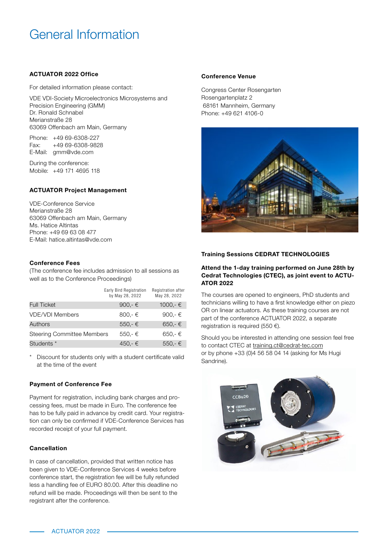### General Information

#### ACTUATOR 2022 Office

For detailed information please contact:

VDE VDI-Society Microelectronics Microsystems and Precision Engineering (GMM) Dr. Ronald Schnabel Merianstraße 28 63069 Offenbach am Main, Germany

Phone: +49 69-6308-227 Fax: +49 69-6308-9828 E-Mail: [gmm@vde.com](mailto:gmm%40vde.com?subject=)

During the conference: Mobile: +49 171 4695 118

#### ACTUATOR Project Management

VDE-Conference Service Merianstraße 28 63069 Offenbach am Main, Germany Ms. Hatice Altintas Phone: +49 69 63 08 477 E-Mail: [hatice.altintas@vde.com](mailto:hatice.altintas%40vde.com?subject=)

#### Conference Fees

(The conference fee includes admission to all sessions as well as to the Conference Proceedings)

|                                   | Early Bird Registration<br>by May 28, 2022 | Registration after<br>May 28, 2022 |
|-----------------------------------|--------------------------------------------|------------------------------------|
| <b>Full Ticket</b>                | 900,- €                                    | 1000,- $∈$                         |
| <b>VDE/VDI Members</b>            | 800,- $\epsilon$                           | 900,- $\in$                        |
| Authors                           | $550 - \epsilon$                           | $650 - \epsilon$                   |
| <b>Steering Committee Members</b> | $550 - \epsilon$                           | 650.-€                             |
| Students *                        | 450.-€                                     | $550 - \epsilon$                   |

Discount for students only with a student certificate valid at the time of the event

#### Payment of Conference Fee

Payment for registration, including bank charges and processing fees, must be made in Euro. The conference fee has to be fully paid in advance by credit card. Your registration can only be confirmed if VDE-Conference Services has recorded receipt of your full payment.

#### Cancellation

In case of cancellation, provided that written notice has been given to VDE-Conference Services 4 weeks before conference start, the registration fee will be fully refunded less a handling fee of EURO 80.00. After this deadline no refund will be made. Proceedings will then be sent to the registrant after the conference.

#### Conference Venue

Congress Center Rosengarten Rosengartenplatz 2 68161 Mannheim, Germany Phone: +49 621 4106-0



#### Training Sessions CEDRAT TECHNOLOGIES

#### Attend the 1-day training performed on June 28th by Cedrat Technologies (CTEC), as joint event to ACTU-ATOR 2022

The courses are opened to engineers, PhD students and technicians willing to have a first knowledge either on piezo OR on linear actuators. As these training courses are not part of the conference ACTUATOR 2022, a separate registration is required (550 €).

Should you be interested in attending one session feel free to contact CTEC at training.ct@cedrat-tec.com or by phone +33 (0)4 56 58 04 14 (asking for Ms Hugi Sandrine).

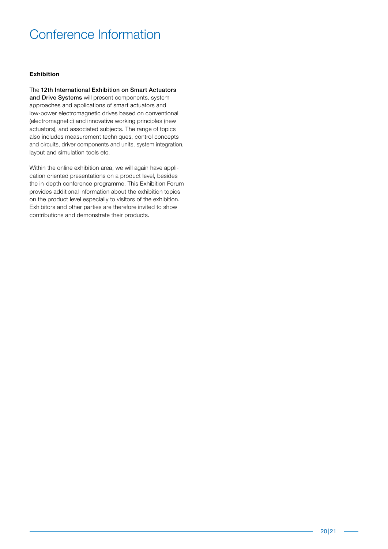### Conference Information

#### Exhibition

The 12th International Exhibition on Smart Actuators and Drive Systems will present components, system approaches and applications of smart actuators and low-power electromagnetic drives based on conventional (electromagnetic) and innovative working principles (new actuators), and associated subjects. The range of topics also includes measurement techniques, control concepts and circuits, driver components and units, system integration, layout and simulation tools etc.

Within the online exhibition area, we will again have application oriented presentations on a product level, besides the in-depth conference programme. This Exhibition Forum provides additional information about the exhibition topics on the product level especially to visitors of the exhibition. Exhibitors and other parties are therefore invited to show contributions and demonstrate their products.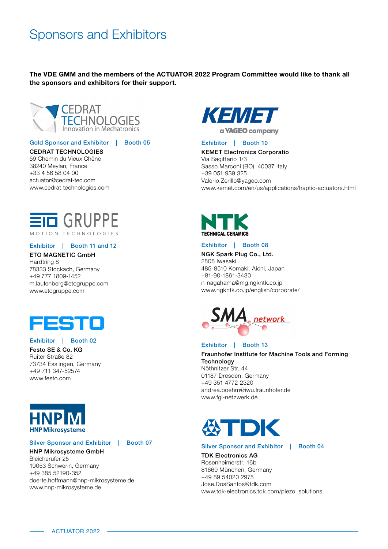### Sponsors and Exhibitors

The VDE GMM and the members of the ACTUATOR 2022 Program Committee would like to thank all the sponsors and exhibitors for their support.



Gold Sponsor and Exhibitor | Booth 05

#### CEDRAT TECHNOLOGIES

59 Chemin du Vieux Chêne 38240 Meylan, France +33 4 56 58 04 00 actuator@cedrat-tec.com [www.cedrat-technologies.com](http://www.cedrat-technologies.com)



#### Exhibitor | Booth 11 and 12

#### ETO MAGNETIC GmbH Hardtring 8

78333 Stockach, Germany +49 777 1809-1452 [m.laufenberg@etogruppe.com](mailto:m.laufenberg%40etogruppe.com?subject=) [www.etogruppe.com](http://www.etogruppe.com)



#### Exhibitor | Booth 02

Festo SE & Co. KG Ruiter Straße 82 73734 Esslingen, Germany +49 711 347-52574 [www.festo.com](http://www.festo.com)



#### Silver Sponsor and Exhibitor | Booth 07

#### HNP Mikrosysteme GmbH

Bleicherufer 25 19053 Schwerin, Germany +49 385 52190-352 [doerte.hoffmann@hnp-mikrosysteme.de](mailto:doerte.hoffmann%40hnp-mikrosysteme.de?subject=) [www.hnp-mikrosysteme.de](http://www.hnp-mikrosysteme.de)



#### Exhibitor | Booth 10

#### KEMET Electronics Corporatio

Via Sagittario 1/3 Sasso Marconi (BO), 40037 Italy +39 051 939 325 [Valerio.Zerillo@yageo.com](mailto:Valerio.Zerillo%40yageo.com?subject=) [www.kemet.com/en/us/applications/haptic-actuators.html](http://www.kemet.com/en/us/applications/haptic-actuators.html)



#### Exhibitor | Booth 08

NGK Spark Plug Co., Ltd. 2808 Iwasaki 485-8510 Komaki, Aichi, Japan +81-90-1861-3430 [n-nagahama@mg.ngkntk.co.jp](mailto:n-nagahama%40mg.ngkntk.co.jp?subject=) [www.ngkntk.co.jp/english/corporate/](http://www.ngkntk.co.jp/english/corporate/)



#### Exhibitor | Booth 13

Fraunhofer Institute for Machine Tools and Forming **Technology** Nöthnitzer Str. 44 01187 Dresden, Germany +49 351 4772-2320 [andrea.boehm@iwu.fraunhofer.de](mailto:andrea.boehm%40iwu.fraunhofer.de?subject=) [www.fgl-netzwerk.de](http://www.fgl-netzwerk.de)



#### Silver Sponsor and Exhibitor | Booth 04

TDK Electronics AG Rosenheimerstr. 16b 81669 München, Germany +49 89 54020 2975 [Jose.DosSantos@tdk.com](mailto:Jose.DosSantos%40tdk.co?subject=) [www.tdk-electronics.tdk.com/piezo\\_solutions](http://www.tdk-electronics.tdk.com/piezo_solutions)

ACTUATOR 2022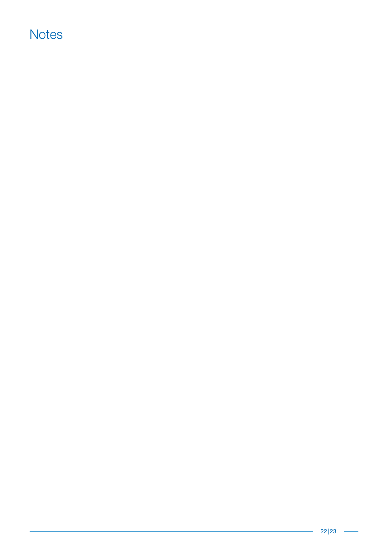### **Notes**

L,